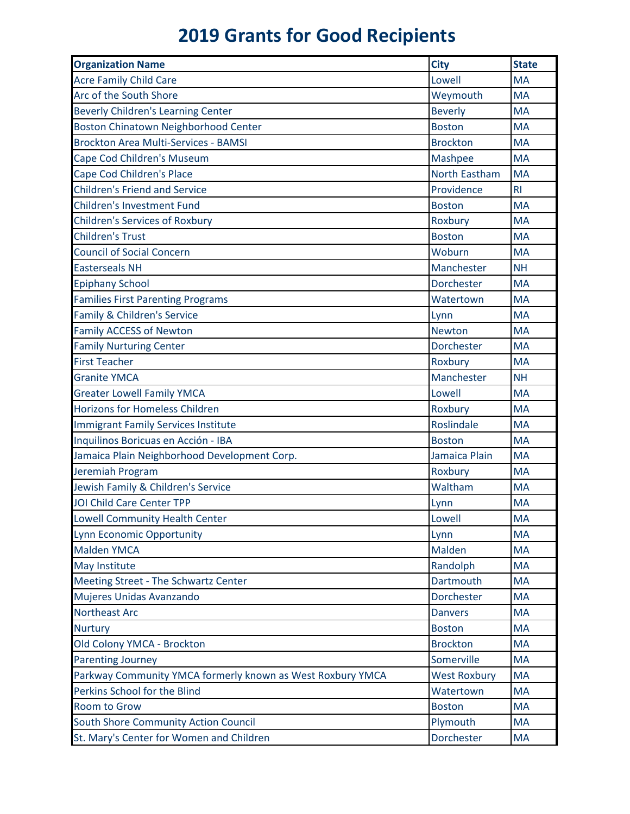## **2019 Grants for Good Recipients**

| <b>Organization Name</b>                                   | <b>City</b>          | <b>State</b>   |
|------------------------------------------------------------|----------------------|----------------|
| <b>Acre Family Child Care</b>                              | Lowell               | <b>MA</b>      |
| Arc of the South Shore                                     | Weymouth             | <b>MA</b>      |
| <b>Beverly Children's Learning Center</b>                  | <b>Beverly</b>       | <b>MA</b>      |
| <b>Boston Chinatown Neighborhood Center</b>                | <b>Boston</b>        | <b>MA</b>      |
| <b>Brockton Area Multi-Services - BAMSI</b>                | <b>Brockton</b>      | <b>MA</b>      |
| Cape Cod Children's Museum                                 | Mashpee              | <b>MA</b>      |
| Cape Cod Children's Place                                  | <b>North Eastham</b> | <b>MA</b>      |
| <b>Children's Friend and Service</b>                       | Providence           | R <sub>l</sub> |
| <b>Children's Investment Fund</b>                          | <b>Boston</b>        | <b>MA</b>      |
| <b>Children's Services of Roxbury</b>                      | Roxbury              | <b>MA</b>      |
| <b>Children's Trust</b>                                    | <b>Boston</b>        | <b>MA</b>      |
| <b>Council of Social Concern</b>                           | Woburn               | <b>MA</b>      |
| <b>Easterseals NH</b>                                      | Manchester           | <b>NH</b>      |
| <b>Epiphany School</b>                                     | Dorchester           | <b>MA</b>      |
| <b>Families First Parenting Programs</b>                   | Watertown            | <b>MA</b>      |
| Family & Children's Service                                | Lynn                 | <b>MA</b>      |
| <b>Family ACCESS of Newton</b>                             | <b>Newton</b>        | <b>MA</b>      |
| <b>Family Nurturing Center</b>                             | <b>Dorchester</b>    | <b>MA</b>      |
| <b>First Teacher</b>                                       | Roxbury              | <b>MA</b>      |
| <b>Granite YMCA</b>                                        | Manchester           | <b>NH</b>      |
| <b>Greater Lowell Family YMCA</b>                          | Lowell               | <b>MA</b>      |
| <b>Horizons for Homeless Children</b>                      | Roxbury              | <b>MA</b>      |
| Immigrant Family Services Institute                        | Roslindale           | <b>MA</b>      |
| Inquilinos Boricuas en Acción - IBA                        | <b>Boston</b>        | <b>MA</b>      |
| Jamaica Plain Neighborhood Development Corp.               | Jamaica Plain        | <b>MA</b>      |
| Jeremiah Program                                           | Roxbury              | <b>MA</b>      |
| Jewish Family & Children's Service                         | Waltham              | <b>MA</b>      |
| JOI Child Care Center TPP                                  | Lynn                 | <b>MA</b>      |
| <b>Lowell Community Health Center</b>                      | Lowell               | <b>MA</b>      |
| <b>Lynn Economic Opportunity</b>                           | Lynn                 | <b>MA</b>      |
| <b>Malden YMCA</b>                                         | Malden               | <b>MA</b>      |
| <b>May Institute</b>                                       | Randolph             | <b>MA</b>      |
| Meeting Street - The Schwartz Center                       | Dartmouth            | <b>MA</b>      |
| Mujeres Unidas Avanzando                                   | Dorchester           | <b>MA</b>      |
| <b>Northeast Arc</b>                                       | <b>Danvers</b>       | <b>MA</b>      |
| <b>Nurtury</b>                                             | <b>Boston</b>        | <b>MA</b>      |
| Old Colony YMCA - Brockton                                 | <b>Brockton</b>      | <b>MA</b>      |
| <b>Parenting Journey</b>                                   | Somerville           | <b>MA</b>      |
| Parkway Community YMCA formerly known as West Roxbury YMCA | <b>West Roxbury</b>  | <b>MA</b>      |
| Perkins School for the Blind                               | Watertown            | <b>MA</b>      |
| <b>Room to Grow</b>                                        | <b>Boston</b>        | <b>MA</b>      |
| South Shore Community Action Council                       | Plymouth             | <b>MA</b>      |
| St. Mary's Center for Women and Children                   | Dorchester           | <b>MA</b>      |